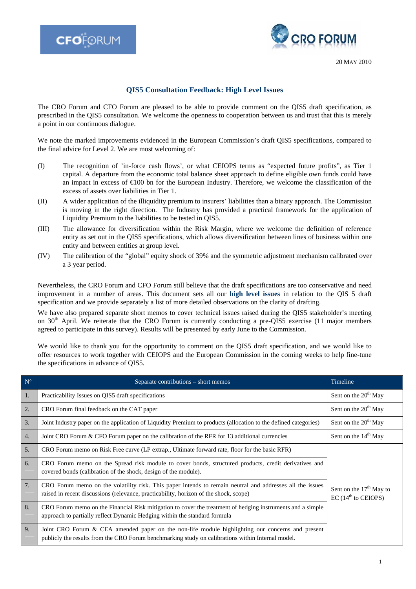



20 MAY 2010

## **QIS5 Consultation Feedback: High Level Issues**

The CRO Forum and CFO Forum are pleased to be able to provide comment on the QIS5 draft specification, as prescribed in the QIS5 consultation. We welcome the openness to cooperation between us and trust that this is merely a point in our continuous dialogue.

We note the marked improvements evidenced in the European Commission's draft QIS5 specifications, compared to the final advice for Level 2. We are most welcoming of:

- (I) The recognition of 'in-force cash flows', or what CEIOPS terms as "expected future profits", as Tier 1 capital. A departure from the economic total balance sheet approach to define eligible own funds could have an impact in excess of  $\epsilon 100$  bn for the European Industry. Therefore, we welcome the classification of the excess of assets over liabilities in Tier 1.
- (II) A wider application of the illiquidity premium to insurers' liabilities than a binary approach. The Commission is moving in the right direction. The Industry has provided a practical framework for the application of Liquidity Premium to the liabilities to be tested in QIS5.
- (III) The allowance for diversification within the Risk Margin, where we welcome the definition of reference entity as set out in the QIS5 specifications, which allows diversification between lines of business within one entity and between entities at group level.
- (IV) The calibration of the "global" equity shock of 39% and the symmetric adjustment mechanism calibrated over a 3 year period.

Nevertheless, the CRO Forum and CFO Forum still believe that the draft specifications are too conservative and need improvement in a number of areas. This document sets all our **high level issues** in relation to the QIS 5 draft specification and we provide separately a list of more detailed observations on the clarity of drafting.

We have also prepared separate short memos to cover technical issues raised during the QIS5 stakeholder's meeting on  $30<sup>th</sup>$  April. We reiterate that the CRO Forum is currently conducting a pre-QIS5 exercise (11 major members agreed to participate in this survey). Results will be presented by early June to the Commission.

We would like to thank you for the opportunity to comment on the QIS5 draft specification, and we would like to offer resources to work together with CEIOPS and the European Commission in the coming weeks to help fine-tune the specifications in advance of QIS5.

| $N^{\circ}$      | Separate contributions - short memos                                                                                                                                                                  | Timeline                                                       |
|------------------|-------------------------------------------------------------------------------------------------------------------------------------------------------------------------------------------------------|----------------------------------------------------------------|
| 1.               | Practicability Issues on QIS5 draft specifications                                                                                                                                                    | Sent on the 20 <sup>th</sup> May                               |
| 2.               | CRO Forum final feedback on the CAT paper                                                                                                                                                             | Sent on the 20 <sup>th</sup> May                               |
| 3.               | Joint Industry paper on the application of Liquidity Premium to products (allocation to the defined categories)                                                                                       | Sent on the 20 <sup>th</sup> May                               |
| $\overline{4}$ . | Joint CRO Forum & CFO Forum paper on the calibration of the RFR for 13 additional currencies                                                                                                          | Sent on the 14 <sup>th</sup> May                               |
| 5.               | CRO Forum memo on Risk Free curve (LP extrap., Ultimate forward rate, floor for the basic RFR)                                                                                                        |                                                                |
| 6.               | CRO Forum memo on the Spread risk module to cover bonds, structured products, credit derivatives and<br>covered bonds (calibration of the shock, design of the module).                               |                                                                |
| 7.               | CRO Forum memo on the volatility risk. This paper intends to remain neutral and addresses all the issues<br>raised in recent discussions (relevance, practicability, horizon of the shock, scope)     | Sent on the $17th$ May to<br>$EC$ (14 <sup>th</sup> to CEIOPS) |
| 8.               | CRO Forum memo on the Financial Risk mitigation to cover the treatment of hedging instruments and a simple<br>approach to partially reflect Dynamic Hedging within the standard formula               |                                                                |
| 9.               | Joint CRO Forum & CEA amended paper on the non-life module highlighting our concerns and present<br>publicly the results from the CRO Forum benchmarking study on calibrations within Internal model. |                                                                |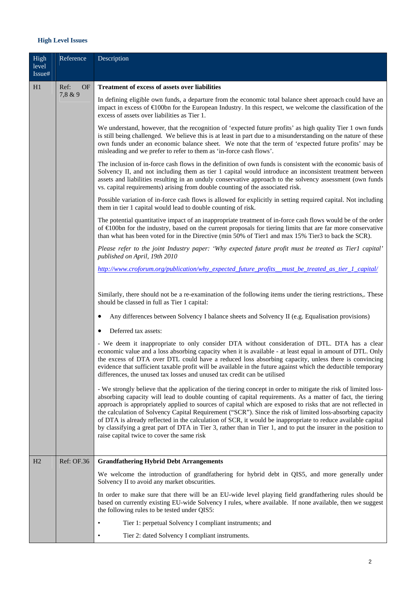## **High Level Issues**

| High<br>level<br>Issue# | Reference         | Description                                                                                                                                                                                                                                                                                                                                                                                                                                                                                                                                                                                                                                                                                                                                 |
|-------------------------|-------------------|---------------------------------------------------------------------------------------------------------------------------------------------------------------------------------------------------------------------------------------------------------------------------------------------------------------------------------------------------------------------------------------------------------------------------------------------------------------------------------------------------------------------------------------------------------------------------------------------------------------------------------------------------------------------------------------------------------------------------------------------|
| H1                      | Ref:<br><b>OF</b> | <b>Treatment of excess of assets over liabilities</b>                                                                                                                                                                                                                                                                                                                                                                                                                                                                                                                                                                                                                                                                                       |
|                         | 7,8 & 9           | In defining eligible own funds, a departure from the economic total balance sheet approach could have an<br>impact in excess of $\bigoplus$ 00bn for the European Industry. In this respect, we welcome the classification of the<br>excess of assets over liabilities as Tier 1.                                                                                                                                                                                                                                                                                                                                                                                                                                                           |
|                         |                   | We understand, however, that the recognition of 'expected future profits' as high quality Tier 1 own funds<br>is still being challenged. We believe this is at least in part due to a misunderstanding on the nature of these<br>own funds under an economic balance sheet. We note that the term of 'expected future profits' may be<br>misleading and we prefer to refer to them as 'in-force cash flows'.                                                                                                                                                                                                                                                                                                                                |
|                         |                   | The inclusion of in-force cash flows in the definition of own funds is consistent with the economic basis of<br>Solvency II, and not including them as tier 1 capital would introduce an inconsistent treatment between<br>assets and liabilities resulting in an unduly conservative approach to the solvency assessment (own funds<br>vs. capital requirements) arising from double counting of the associated risk.                                                                                                                                                                                                                                                                                                                      |
|                         |                   | Possible variation of in-force cash flows is allowed for explicitly in setting required capital. Not including<br>them in tier 1 capital would lead to double counting of risk.                                                                                                                                                                                                                                                                                                                                                                                                                                                                                                                                                             |
|                         |                   | The potential quantitative impact of an inappropriate treatment of in-force cash flows would be of the order<br>of €100bn for the industry, based on the current proposals for tiering limits that are far more conservative<br>than what has been voted for in the Directive (min 50% of Tier1 and max 15% Tier3 to back the SCR).                                                                                                                                                                                                                                                                                                                                                                                                         |
|                         |                   | Please refer to the joint Industry paper: 'Why expected future profit must be treated as Tier1 capital'<br>published on April, 19th 2010                                                                                                                                                                                                                                                                                                                                                                                                                                                                                                                                                                                                    |
|                         |                   | http://www.croforum.org/publication/why_expected_future_profits_must_be_treated_as_tier_1_capital/                                                                                                                                                                                                                                                                                                                                                                                                                                                                                                                                                                                                                                          |
|                         |                   | Similarly, there should not be a re-examination of the following items under the tiering restrictions,. These<br>should be classed in full as Tier 1 capital:                                                                                                                                                                                                                                                                                                                                                                                                                                                                                                                                                                               |
|                         |                   | Any differences between Solvency I balance sheets and Solvency II (e.g. Equalisation provisions)<br>٠                                                                                                                                                                                                                                                                                                                                                                                                                                                                                                                                                                                                                                       |
|                         |                   | Deferred tax assets:<br>$\bullet$                                                                                                                                                                                                                                                                                                                                                                                                                                                                                                                                                                                                                                                                                                           |
|                         |                   | - We deem it inappropriate to only consider DTA without consideration of DTL. DTA has a clear<br>economic value and a loss absorbing capacity when it is available - at least equal in amount of DTL. Only<br>the excess of DTA over DTL could have a reduced loss absorbing capacity, unless there is convincing<br>evidence that sufficient taxable profit will be available in the future against which the deductible temporary<br>differences, the unused tax losses and unused tax credit can be utilised                                                                                                                                                                                                                             |
|                         |                   | - We strongly believe that the application of the tiering concept in order to mitigate the risk of limited loss-<br>absorbing capacity will lead to double counting of capital requirements. As a matter of fact, the tiering<br>approach is appropriately applied to sources of capital which are exposed to risks that are not reflected in<br>the calculation of Solvency Capital Requirement ("SCR"). Since the risk of limited loss-absorbing capacity<br>of DTA is already reflected in the calculation of SCR, it would be inappropriate to reduce available capital<br>by classifying a great part of DTA in Tier 3, rather than in Tier 1, and to put the insurer in the position to<br>raise capital twice to cover the same risk |
| H2                      | Ref: OF.36        | <b>Grandfathering Hybrid Debt Arrangements</b>                                                                                                                                                                                                                                                                                                                                                                                                                                                                                                                                                                                                                                                                                              |
|                         |                   | We welcome the introduction of grandfathering for hybrid debt in QIS5, and more generally under<br>Solvency II to avoid any market obscurities.                                                                                                                                                                                                                                                                                                                                                                                                                                                                                                                                                                                             |
|                         |                   | In order to make sure that there will be an EU-wide level playing field grandfathering rules should be<br>based on currently existing EU-wide Solvency I rules, where available. If none available, then we suggest<br>the following rules to be tested under QIS5:                                                                                                                                                                                                                                                                                                                                                                                                                                                                         |
|                         |                   | Tier 1: perpetual Solvency I compliant instruments; and<br>$\bullet$                                                                                                                                                                                                                                                                                                                                                                                                                                                                                                                                                                                                                                                                        |
|                         |                   | Tier 2: dated Solvency I compliant instruments.<br>٠                                                                                                                                                                                                                                                                                                                                                                                                                                                                                                                                                                                                                                                                                        |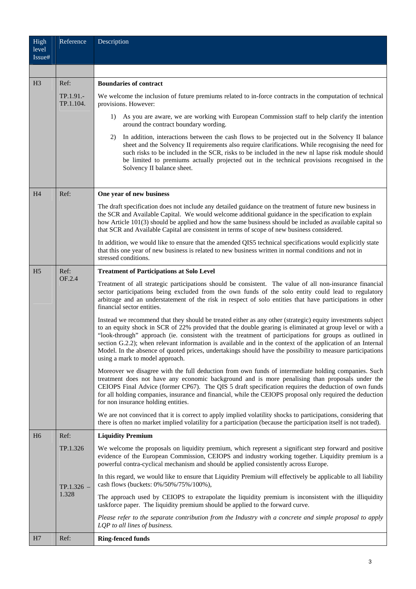| High<br>level<br>Issue# | Reference              | Description                                                                                                                                                                                                                                                                                                                                                                                                                                                                                                                                                                                       |
|-------------------------|------------------------|---------------------------------------------------------------------------------------------------------------------------------------------------------------------------------------------------------------------------------------------------------------------------------------------------------------------------------------------------------------------------------------------------------------------------------------------------------------------------------------------------------------------------------------------------------------------------------------------------|
|                         |                        |                                                                                                                                                                                                                                                                                                                                                                                                                                                                                                                                                                                                   |
| H <sub>3</sub>          | Ref:                   | <b>Boundaries of contract</b>                                                                                                                                                                                                                                                                                                                                                                                                                                                                                                                                                                     |
|                         | TP.1.91.-<br>TP.1.104. | We welcome the inclusion of future premiums related to in-force contracts in the computation of technical<br>provisions. However:                                                                                                                                                                                                                                                                                                                                                                                                                                                                 |
|                         |                        | As you are aware, we are working with European Commission staff to help clarify the intention<br>1)<br>around the contract boundary wording.                                                                                                                                                                                                                                                                                                                                                                                                                                                      |
|                         |                        | In addition, interactions between the cash flows to be projected out in the Solvency II balance<br>2)<br>sheet and the Solvency II requirements also require clarifications. While recognising the need for<br>such risks to be included in the SCR, risks to be included in the new nl lapse risk module should<br>be limited to premiums actually projected out in the technical provisions recognised in the<br>Solvency II balance sheet.                                                                                                                                                     |
| H <sub>4</sub>          | Ref:                   | One year of new business                                                                                                                                                                                                                                                                                                                                                                                                                                                                                                                                                                          |
|                         |                        | The draft specification does not include any detailed guidance on the treatment of future new business in<br>the SCR and Available Capital. We would welcome additional guidance in the specification to explain<br>how Article 101(3) should be applied and how the same business should be included as available capital so<br>that SCR and Available Capital are consistent in terms of scope of new business considered.                                                                                                                                                                      |
|                         |                        | In addition, we would like to ensure that the amended QIS5 technical specifications would explicitly state<br>that this one year of new business is related to new business written in normal conditions and not in<br>stressed conditions.                                                                                                                                                                                                                                                                                                                                                       |
| H <sub>5</sub>          | Ref:<br>OF.2.4         | <b>Treatment of Participations at Solo Level</b>                                                                                                                                                                                                                                                                                                                                                                                                                                                                                                                                                  |
|                         |                        | Treatment of all strategic participations should be consistent. The value of all non-insurance financial<br>sector participations being excluded from the own funds of the solo entity could lead to regulatory<br>arbitrage and an understatement of the risk in respect of solo entities that have participations in other<br>financial sector entities.                                                                                                                                                                                                                                        |
|                         |                        | Instead we recommend that they should be treated either as any other (strategic) equity investments subject<br>to an equity shock in SCR of 22% provided that the double gearing is eliminated at group level or with a<br>"look-through" approach (ie. consistent with the treatment of participations for groups as outlined in<br>section G.2.2); when relevant information is available and in the context of the application of an Internal<br>Model. In the absence of quoted prices, undertakings should have the possibility to measure participations<br>using a mark to model approach. |
|                         |                        | Moreover we disagree with the full deduction from own funds of intermediate holding companies. Such<br>treatment does not have any economic background and is more penalising than proposals under the<br>CEIOPS Final Advice (former CP67). The QIS 5 draft specification requires the deduction of own funds<br>for all holding companies, insurance and financial, while the CEIOPS proposal only required the deduction<br>for non insurance holding entities.                                                                                                                                |
|                         |                        | We are not convinced that it is correct to apply implied volatility shocks to participations, considering that<br>there is often no market implied volatility for a participation (because the participation itself is not traded).                                                                                                                                                                                                                                                                                                                                                               |
| H <sub>6</sub>          | Ref:                   | <b>Liquidity Premium</b>                                                                                                                                                                                                                                                                                                                                                                                                                                                                                                                                                                          |
|                         | TP.1.326               | We welcome the proposals on liquidity premium, which represent a significant step forward and positive<br>evidence of the European Commission, CEIOPS and industry working together. Liquidity premium is a<br>powerful contra-cyclical mechanism and should be applied consistently across Europe.                                                                                                                                                                                                                                                                                               |
|                         | $TP.1.326 -$<br>1.328  | In this regard, we would like to ensure that Liquidity Premium will effectively be applicable to all liability<br>cash flows (buckets: 0%/50%/75%/100%),                                                                                                                                                                                                                                                                                                                                                                                                                                          |
|                         |                        | The approach used by CEIOPS to extrapolate the liquidity premium is inconsistent with the illiquidity<br>taskforce paper. The liquidity premium should be applied to the forward curve.                                                                                                                                                                                                                                                                                                                                                                                                           |
|                         |                        | Please refer to the separate contribution from the Industry with a concrete and simple proposal to apply<br>LQP to all lines of business.                                                                                                                                                                                                                                                                                                                                                                                                                                                         |
| H7                      | Ref:                   | <b>Ring-fenced funds</b>                                                                                                                                                                                                                                                                                                                                                                                                                                                                                                                                                                          |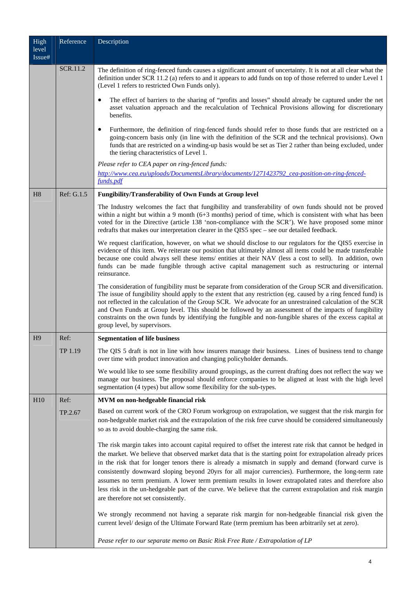| High<br>level  | Reference  | Description                                                                                                                                                                                                                                                                                                                                                                                                                                                                                                                                                                                                                                                                                                  |
|----------------|------------|--------------------------------------------------------------------------------------------------------------------------------------------------------------------------------------------------------------------------------------------------------------------------------------------------------------------------------------------------------------------------------------------------------------------------------------------------------------------------------------------------------------------------------------------------------------------------------------------------------------------------------------------------------------------------------------------------------------|
| Issue#         |            |                                                                                                                                                                                                                                                                                                                                                                                                                                                                                                                                                                                                                                                                                                              |
|                | SCR.11.2   | The definition of ring-fenced funds causes a significant amount of uncertainty. It is not at all clear what the<br>definition under SCR 11.2 (a) refers to and it appears to add funds on top of those referred to under Level 1<br>(Level 1 refers to restricted Own Funds only).                                                                                                                                                                                                                                                                                                                                                                                                                           |
|                |            | The effect of barriers to the sharing of "profits and losses" should already be captured under the net<br>asset valuation approach and the recalculation of Technical Provisions allowing for discretionary<br>benefits.                                                                                                                                                                                                                                                                                                                                                                                                                                                                                     |
|                |            | Furthermore, the definition of ring-fenced funds should refer to those funds that are restricted on a<br>٠<br>going-concern basis only (in line with the definition of the SCR and the technical provisions). Own<br>funds that are restricted on a winding-up basis would be set as Tier 2 rather than being excluded, under<br>the tiering characteristics of Level 1.                                                                                                                                                                                                                                                                                                                                     |
|                |            | Please refer to CEA paper on ring-fenced funds:                                                                                                                                                                                                                                                                                                                                                                                                                                                                                                                                                                                                                                                              |
|                |            | http://www.cea.eu/uploads/DocumentsLibrary/documents/1271423792_cea-position-on-ring-fenced-<br>funds.pdf                                                                                                                                                                                                                                                                                                                                                                                                                                                                                                                                                                                                    |
| H <sub>8</sub> | Ref: G.1.5 | Fungibility/Transferability of Own Funds at Group level                                                                                                                                                                                                                                                                                                                                                                                                                                                                                                                                                                                                                                                      |
|                |            | The Industry welcomes the fact that fungibility and transferability of own funds should not be proved<br>within a night but within a 9 month $(6+3$ months) period of time, which is consistent with what has been<br>voted for in the Directive (article 138 'non-compliance with the SCR'). We have proposed some minor<br>redrafts that makes our interpretation clearer in the QIS5 spec – see our detailed feedback.                                                                                                                                                                                                                                                                                    |
|                |            | We request clarification, however, on what we should disclose to our regulators for the QIS5 exercise in<br>evidence of this item. We reiterate our position that ultimately almost all items could be made transferable<br>because one could always sell these items/ entities at their NAV (less a cost to sell). In addition, own<br>funds can be made fungible through active capital management such as restructuring or internal<br>reinsurance.                                                                                                                                                                                                                                                       |
|                |            | The consideration of fungibility must be separate from consideration of the Group SCR and diversification.<br>The issue of fungibility should apply to the extent that any restriction (eg. caused by a ring fenced fund) is<br>not reflected in the calculation of the Group SCR. We advocate for an unrestrained calculation of the SCR<br>and Own Funds at Group level. This should be followed by an assessment of the impacts of fungibility<br>constraints on the own funds by identifying the fungible and non-fungible shares of the excess capital at<br>group level, by supervisors.                                                                                                               |
| H <sub>9</sub> | Ref:       | <b>Segmentation of life business</b>                                                                                                                                                                                                                                                                                                                                                                                                                                                                                                                                                                                                                                                                         |
|                | TP 1.19    | The QIS 5 draft is not in line with how insurers manage their business. Lines of business tend to change<br>over time with product innovation and changing policyholder demands.                                                                                                                                                                                                                                                                                                                                                                                                                                                                                                                             |
|                |            | We would like to see some flexibility around groupings, as the current drafting does not reflect the way we<br>manage our business. The proposal should enforce companies to be aligned at least with the high level<br>segmentation (4 types) but allow some flexibility for the sub-types.                                                                                                                                                                                                                                                                                                                                                                                                                 |
| H10            | Ref:       | MVM on non-hedgeable financial risk                                                                                                                                                                                                                                                                                                                                                                                                                                                                                                                                                                                                                                                                          |
|                | TP.2.67    | Based on current work of the CRO Forum workgroup on extrapolation, we suggest that the risk margin for<br>non-hedgeable market risk and the extrapolation of the risk free curve should be considered simultaneously<br>so as to avoid double-charging the same risk.                                                                                                                                                                                                                                                                                                                                                                                                                                        |
|                |            | The risk margin takes into account capital required to offset the interest rate risk that cannot be hedged in<br>the market. We believe that observed market data that is the starting point for extrapolation already prices<br>in the risk that for longer tenors there is already a mismatch in supply and demand (forward curve is<br>consistently downward sloping beyond 20yrs for all major currencies). Furthermore, the long-term rate<br>assumes no term premium. A lower term premium results in lower extrapolated rates and therefore also<br>less risk in the un-hedgeable part of the curve. We believe that the current extrapolation and risk margin<br>are therefore not set consistently. |
|                |            | We strongly recommend not having a separate risk margin for non-hedgeable financial risk given the<br>current level/ design of the Ultimate Forward Rate (term premium has been arbitrarily set at zero).                                                                                                                                                                                                                                                                                                                                                                                                                                                                                                    |
|                |            | Pease refer to our separate memo on Basic Risk Free Rate / Extrapolation of LP                                                                                                                                                                                                                                                                                                                                                                                                                                                                                                                                                                                                                               |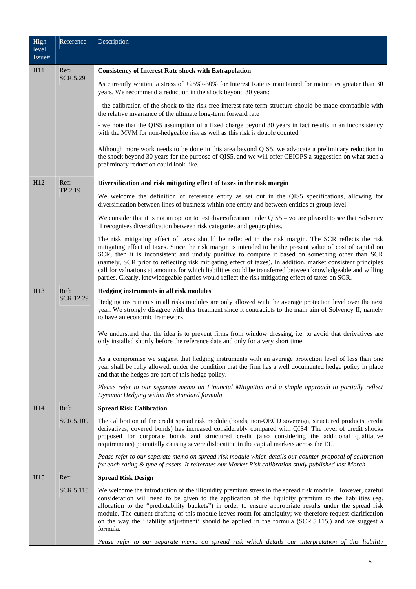| High<br>level   | Reference        | Description                                                                                                                                                                                                                                                                                                                                                                                                                                                                                                                                                                                                                                                  |
|-----------------|------------------|--------------------------------------------------------------------------------------------------------------------------------------------------------------------------------------------------------------------------------------------------------------------------------------------------------------------------------------------------------------------------------------------------------------------------------------------------------------------------------------------------------------------------------------------------------------------------------------------------------------------------------------------------------------|
| Issue#          |                  |                                                                                                                                                                                                                                                                                                                                                                                                                                                                                                                                                                                                                                                              |
| H11             | Ref:<br>SCR.5.29 | <b>Consistency of Interest Rate shock with Extrapolation</b>                                                                                                                                                                                                                                                                                                                                                                                                                                                                                                                                                                                                 |
|                 |                  | As currently written, a stress of +25%/-30% for Interest Rate is maintained for maturities greater than 30<br>years. We recommend a reduction in the shock beyond 30 years:                                                                                                                                                                                                                                                                                                                                                                                                                                                                                  |
|                 |                  | - the calibration of the shock to the risk free interest rate term structure should be made compatible with<br>the relative invariance of the ultimate long-term forward rate                                                                                                                                                                                                                                                                                                                                                                                                                                                                                |
|                 |                  | - we note that the QIS5 assumption of a fixed charge beyond 30 years in fact results in an inconsistency<br>with the MVM for non-hedgeable risk as well as this risk is double counted.                                                                                                                                                                                                                                                                                                                                                                                                                                                                      |
|                 |                  | Although more work needs to be done in this area beyond QIS5, we advocate a preliminary reduction in<br>the shock beyond 30 years for the purpose of QIS5, and we will offer CEIOPS a suggestion on what such a<br>preliminary reduction could look like.                                                                                                                                                                                                                                                                                                                                                                                                    |
| H <sub>12</sub> | Ref:<br>TP.2.19  | Diversification and risk mitigating effect of taxes in the risk margin                                                                                                                                                                                                                                                                                                                                                                                                                                                                                                                                                                                       |
|                 |                  | We welcome the definition of reference entity as set out in the QIS5 specifications, allowing for<br>diversification between lines of business within one entity and between entities at group level.                                                                                                                                                                                                                                                                                                                                                                                                                                                        |
|                 |                  | We consider that it is not an option to test diversification under QIS5 – we are pleased to see that Solvency<br>II recognises diversification between risk categories and geographies.                                                                                                                                                                                                                                                                                                                                                                                                                                                                      |
|                 |                  | The risk mitigating effect of taxes should be reflected in the risk margin. The SCR reflects the risk<br>mitigating effect of taxes. Since the risk margin is intended to be the present value of cost of capital on<br>SCR, then it is inconsistent and unduly punitive to compute it based on something other than SCR<br>(namely, SCR prior to reflecting risk mitigating effect of taxes). In addition, market consistent principles<br>call for valuations at amounts for which liabilities could be transferred between knowledgeable and willing<br>parties. Clearly, knowledgeable parties would reflect the risk mitigating effect of taxes on SCR. |
| H13             | Ref:             | Hedging instruments in all risk modules                                                                                                                                                                                                                                                                                                                                                                                                                                                                                                                                                                                                                      |
|                 | SCR.12.29        | Hedging instruments in all risks modules are only allowed with the average protection level over the next<br>year. We strongly disagree with this treatment since it contradicts to the main aim of Solvency II, namely<br>to have an economic framework.                                                                                                                                                                                                                                                                                                                                                                                                    |
|                 |                  | We understand that the idea is to prevent firms from window dressing, i.e. to avoid that derivatives are<br>only installed shortly before the reference date and only for a very short time.                                                                                                                                                                                                                                                                                                                                                                                                                                                                 |
|                 |                  | As a compromise we suggest that hedging instruments with an average protection level of less than one<br>year shall be fully allowed, under the condition that the firm has a well documented hedge policy in place<br>and that the hedges are part of this hedge policy.                                                                                                                                                                                                                                                                                                                                                                                    |
|                 |                  | Please refer to our separate memo on Financial Mitigation and a simple approach to partially reflect<br>Dynamic Hedging within the standard formula                                                                                                                                                                                                                                                                                                                                                                                                                                                                                                          |
| H14             | Ref:             | <b>Spread Risk Calibration</b>                                                                                                                                                                                                                                                                                                                                                                                                                                                                                                                                                                                                                               |
|                 | SCR.5.109        | The calibration of the credit spread risk module (bonds, non-OECD sovereign, structured products, credit<br>derivatives, covered bonds) has increased considerably compared with QIS4. The level of credit shocks<br>proposed for corporate bonds and structured credit (also considering the additional qualitative<br>requirements) potentially causing severe dislocation in the capital markets across the EU.                                                                                                                                                                                                                                           |
|                 |                  | Pease refer to our separate memo on spread risk module which details our counter-proposal of calibration<br>for each rating & type of assets. It reiterates our Market Risk calibration study published last March.                                                                                                                                                                                                                                                                                                                                                                                                                                          |
| H <sub>15</sub> | Ref:             | <b>Spread Risk Design</b>                                                                                                                                                                                                                                                                                                                                                                                                                                                                                                                                                                                                                                    |
|                 | SCR.5.115        | We welcome the introduction of the illiquidity premium stress in the spread risk module. However, careful<br>consideration will need to be given to the application of the liquidity premium to the liabilities (eg.<br>allocation to the "predictability buckets") in order to ensure appropriate results under the spread risk<br>module. The current drafting of this module leaves room for ambiguity; we therefore request clarification<br>on the way the 'liability adjustment' should be applied in the formula (SCR.5.115.) and we suggest a<br>formula.                                                                                            |
|                 |                  | Pease refer to our separate memo on spread risk which details our interpretation of this liability                                                                                                                                                                                                                                                                                                                                                                                                                                                                                                                                                           |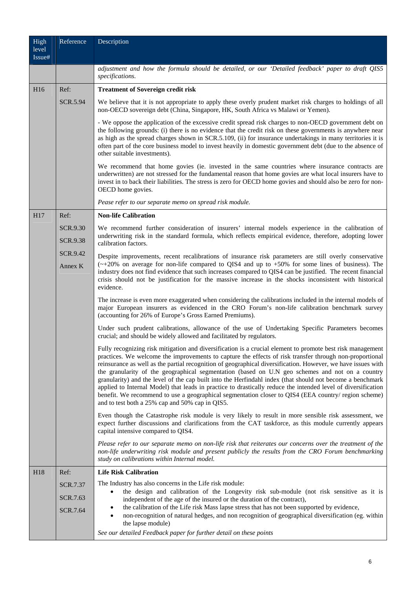| High<br>level<br>Issue# | Reference                          | Description                                                                                                                                                                                                                                                                                                                                                                                                                                                                                                                                                                                                                                                                                                                                                                                                                       |
|-------------------------|------------------------------------|-----------------------------------------------------------------------------------------------------------------------------------------------------------------------------------------------------------------------------------------------------------------------------------------------------------------------------------------------------------------------------------------------------------------------------------------------------------------------------------------------------------------------------------------------------------------------------------------------------------------------------------------------------------------------------------------------------------------------------------------------------------------------------------------------------------------------------------|
|                         |                                    | adjustment and how the formula should be detailed, or our 'Detailed feedback' paper to draft QIS5<br>specifications.                                                                                                                                                                                                                                                                                                                                                                                                                                                                                                                                                                                                                                                                                                              |
| H <sub>16</sub>         | Ref:                               | <b>Treatment of Sovereign credit risk</b>                                                                                                                                                                                                                                                                                                                                                                                                                                                                                                                                                                                                                                                                                                                                                                                         |
|                         | <b>SCR.5.94</b>                    | We believe that it is not appropriate to apply these overly prudent market risk charges to holdings of all<br>non-OECD sovereign debt (China, Singapore, HK, South Africa vs Malawi or Yemen).                                                                                                                                                                                                                                                                                                                                                                                                                                                                                                                                                                                                                                    |
|                         |                                    | - We oppose the application of the excessive credit spread risk charges to non-OECD government debt on<br>the following grounds: (i) there is no evidence that the credit risk on these governments is anywhere near<br>as high as the spread charges shown in SCR.5.109, (ii) for insurance undertakings in many territories it is<br>often part of the core business model to invest heavily in domestic government debt (due to the absence of<br>other suitable investments).                                                                                                                                                                                                                                                                                                                                                 |
|                         |                                    | We recommend that home govies (ie. invested in the same countries where insurance contracts are<br>underwritten) are not stressed for the fundamental reason that home govies are what local insurers have to<br>invest in to back their liabilities. The stress is zero for OECD home govies and should also be zero for non-<br>OECD home govies.                                                                                                                                                                                                                                                                                                                                                                                                                                                                               |
|                         |                                    | Pease refer to our separate memo on spread risk module.                                                                                                                                                                                                                                                                                                                                                                                                                                                                                                                                                                                                                                                                                                                                                                           |
| H17                     | Ref:                               | <b>Non-life Calibration</b>                                                                                                                                                                                                                                                                                                                                                                                                                                                                                                                                                                                                                                                                                                                                                                                                       |
|                         | <b>SCR.9.30</b><br><b>SCR.9.38</b> | We recommend further consideration of insurers' internal models experience in the calibration of<br>underwriting risk in the standard formula, which reflects empirical evidence, therefore, adopting lower<br>calibration factors.                                                                                                                                                                                                                                                                                                                                                                                                                                                                                                                                                                                               |
|                         | SCR.9.42                           | Despite improvements, recent recalibrations of insurance risk parameters are still overly conservative                                                                                                                                                                                                                                                                                                                                                                                                                                                                                                                                                                                                                                                                                                                            |
|                         | Annex K                            | $(\sim +20\%$ on average for non-life compared to QIS4 and up to +50% for some lines of business). The<br>industry does not find evidence that such increases compared to QIS4 can be justified. The recent financial<br>crisis should not be justification for the massive increase in the shocks inconsistent with historical<br>evidence.                                                                                                                                                                                                                                                                                                                                                                                                                                                                                      |
|                         |                                    | The increase is even more exaggerated when considering the calibrations included in the internal models of<br>major European insurers as evidenced in the CRO Forum's non-life calibration benchmark survey<br>(accounting for 26% of Europe's Gross Earned Premiums).                                                                                                                                                                                                                                                                                                                                                                                                                                                                                                                                                            |
|                         |                                    | Under such prudent calibrations, allowance of the use of Undertaking Specific Parameters becomes<br>crucial; and should be widely allowed and facilitated by regulators.                                                                                                                                                                                                                                                                                                                                                                                                                                                                                                                                                                                                                                                          |
|                         |                                    | Fully recognizing risk mitigation and diversification is a crucial element to promote best risk management<br>practices. We welcome the improvements to capture the effects of risk transfer through non-proportional<br>reinsurance as well as the partial recognition of geographical diversification. However, we have issues with<br>the granularity of the geographical segmentation (based on U.N geo schemes and not on a country<br>granularity) and the level of the cap built into the Herfindahl index (that should not become a benchmark<br>applied to Internal Model) that leads in practice to drastically reduce the intended level of diversification<br>benefit. We recommend to use a geographical segmentation closer to QIS4 (EEA country/ region scheme)<br>and to test both a 25% cap and 50% cap in QIS5. |
|                         |                                    | Even though the Catastrophe risk module is very likely to result in more sensible risk assessment, we<br>expect further discussions and clarifications from the CAT taskforce, as this module currently appears<br>capital intensive compared to QIS4.                                                                                                                                                                                                                                                                                                                                                                                                                                                                                                                                                                            |
|                         |                                    | Please refer to our separate memo on non-life risk that reiterates our concerns over the treatment of the<br>non-life underwriting risk module and present publicly the results from the CRO Forum benchmarking<br>study on calibrations within Internal model.                                                                                                                                                                                                                                                                                                                                                                                                                                                                                                                                                                   |
| H18                     | Ref:                               | <b>Life Risk Calibration</b>                                                                                                                                                                                                                                                                                                                                                                                                                                                                                                                                                                                                                                                                                                                                                                                                      |
|                         | SCR.7.37                           | The Industry has also concerns in the Life risk module:<br>the design and calibration of the Longevity risk sub-module (not risk sensitive as it is                                                                                                                                                                                                                                                                                                                                                                                                                                                                                                                                                                                                                                                                               |
|                         | SCR.7.63<br>SCR.7.64               | independent of the age of the insured or the duration of the contract),<br>the calibration of the Life risk Mass lapse stress that has not been supported by evidence,<br>non-recognition of natural hedges, and non recognition of geographical diversification (eg. within<br>٠                                                                                                                                                                                                                                                                                                                                                                                                                                                                                                                                                 |
|                         |                                    | the lapse module)<br>See our detailed Feedback paper for further detail on these points                                                                                                                                                                                                                                                                                                                                                                                                                                                                                                                                                                                                                                                                                                                                           |